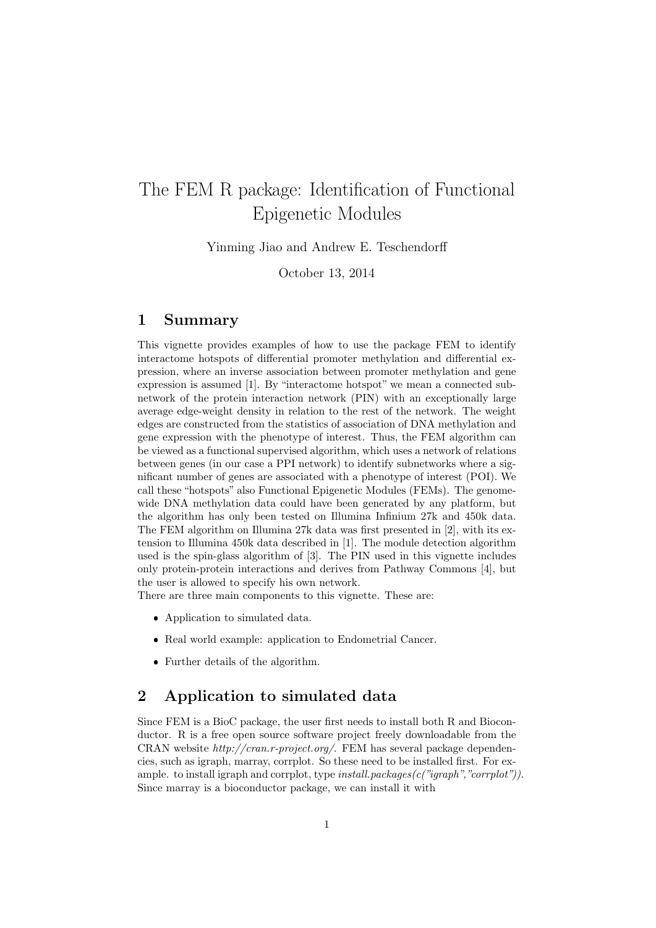# The FEM R package: Identification of Functional Epigenetic Modules

Yinming Jiao and Andrew E. Teschendorff

October 13, 2014

## 1 Summary

This vignette provides examples of how to use the package FEM to identify interactome hotspots of differential promoter methylation and differential expression, where an inverse association between promoter methylation and gene expression is assumed [1]. By "interactome hotspot" we mean a connected subnetwork of the protein interaction network (PIN) with an exceptionally large average edge-weight density in relation to the rest of the network. The weight edges are constructed from the statistics of association of DNA methylation and gene expression with the phenotype of interest. Thus, the FEM algorithm can be viewed as a functional supervised algorithm, which uses a network of relations between genes (in our case a PPI network) to identify subnetworks where a significant number of genes are associated with a phenotype of interest (POI). We call these "hotspots" also Functional Epigenetic Modules (FEMs). The genomewide DNA methylation data could have been generated by any platform, but the algorithm has only been tested on Illumina Infinium 27k and 450k data. The FEM algorithm on Illumina 27k data was first presented in [2], with its extension to Illumina 450k data described in [1]. The module detection algorithm used is the spin-glass algorithm of [3]. The PIN used in this vignette includes only protein-protein interactions and derives from Pathway Commons [4], but the user is allowed to specify his own network.

There are three main components to this vignette. These are:

- Application to simulated data.
- Real world example: application to Endometrial Cancer.
- Further details of the algorithm.

## 2 Application to simulated data

Since FEM is a BioC package, the user first needs to install both R and Bioconductor. R is a free open source software project freely downloadable from the CRAN website http://cran.r-project.org/. FEM has several package dependencies, such as igraph, marray, corrplot. So these need to be installed first. For example. to install igraph and corrplot, type  $install.packages(c("igraph", "corrplot"))$ . Since marray is a bioconductor package, we can install it with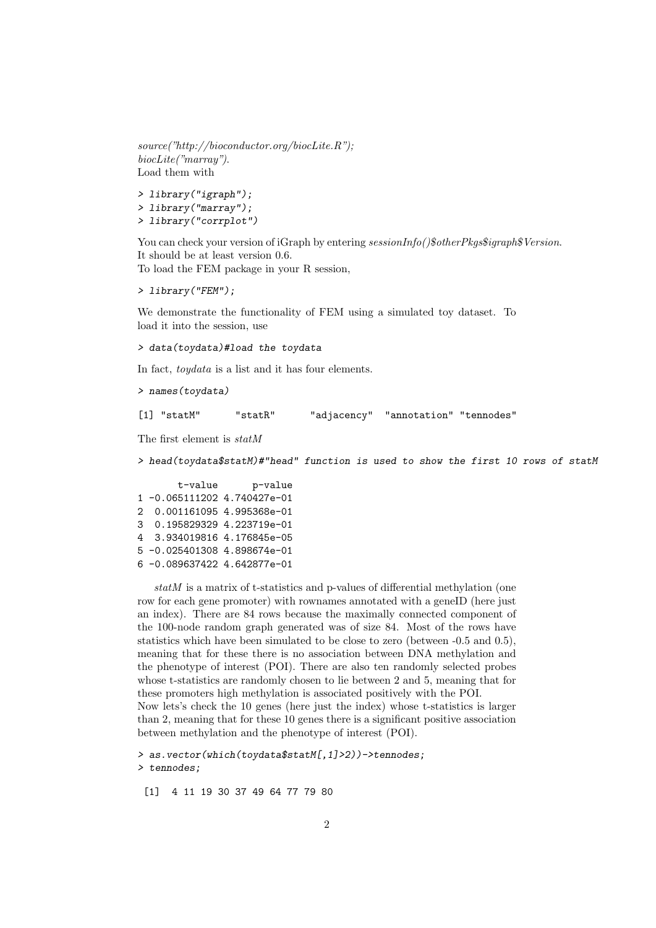source("http://bioconductor.org/biocLite.R"); biocLite("marray"). Load them with

> library("igraph"); > library("marray"); > library("corrplot")

You can check your version of iGraph by entering  $sessionInfo()$ \$otherPkgs\$igraph\$Version. It should be at least version 0.6. To load the FEM package in your R session,

> library("FEM");

We demonstrate the functionality of FEM using a simulated toy dataset. To load it into the session, use

> data(toydata)#load the toydata

In fact, toydata is a list and it has four elements.

> names(toydata)

[1] "statM" "statR" "adjacency" "annotation" "tennodes"

The first element is statM

> head(toydata\$statM)#"head" function is used to show the first 10 rows of statM

t-value p-value 1 -0.065111202 4.740427e-01 2 0.001161095 4.995368e-01 3 0.195829329 4.223719e-01 4 3.934019816 4.176845e-05 5 -0.025401308 4.898674e-01 6 -0.089637422 4.642877e-01

statM is a matrix of t-statistics and p-values of differential methylation (one row for each gene promoter) with rownames annotated with a geneID (here just an index). There are 84 rows because the maximally connected component of the 100-node random graph generated was of size 84. Most of the rows have statistics which have been simulated to be close to zero (between -0.5 and 0.5), meaning that for these there is no association between DNA methylation and the phenotype of interest (POI). There are also ten randomly selected probes whose t-statistics are randomly chosen to lie between 2 and 5, meaning that for these promoters high methylation is associated positively with the POI.

Now lets's check the 10 genes (here just the index) whose t-statistics is larger than 2, meaning that for these 10 genes there is a significant positive association between methylation and the phenotype of interest (POI).

> as.vector(which(toydata\$statM[,1]>2))->tennodes; > tennodes;

[1] 4 11 19 30 37 49 64 77 79 80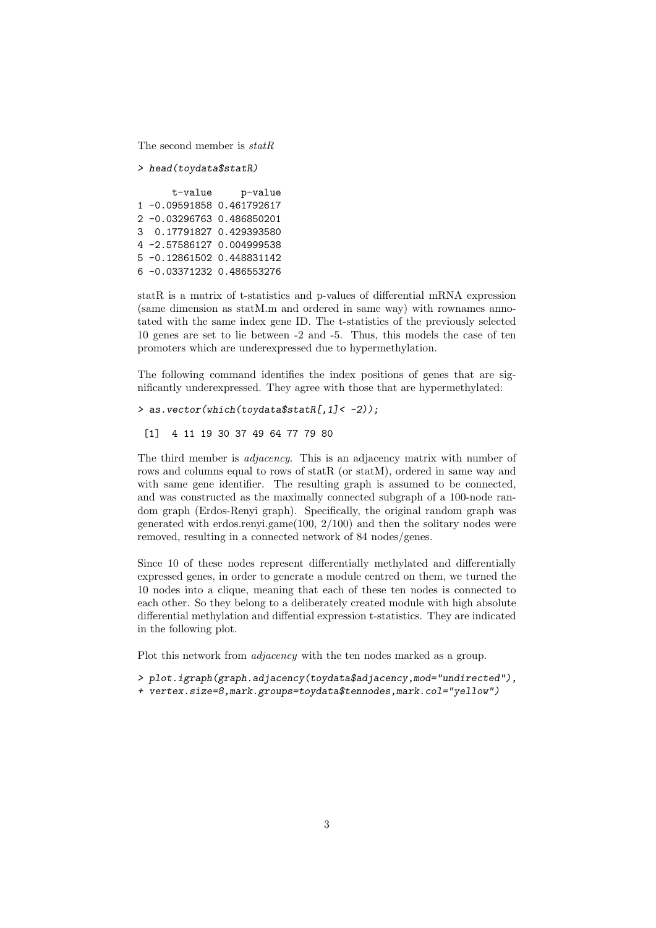The second member is statR

> head(toydata\$statR)

```
t-value p-value
1 -0.09591858 0.461792617
2 -0.03296763 0.486850201
3 0.17791827 0.429393580
4 -2.57586127 0.004999538
5 -0.12861502 0.448831142
6 -0.03371232 0.486553276
```
statR is a matrix of t-statistics and p-values of differential mRNA expression (same dimension as statM.m and ordered in same way) with rownames annotated with the same index gene ID. The t-statistics of the previously selected 10 genes are set to lie between -2 and -5. Thus, this models the case of ten promoters which are underexpressed due to hypermethylation.

The following command identifies the index positions of genes that are significantly underexpressed. They agree with those that are hypermethylated:

```
> as.vector(which(toydata$statR[,1]< -2));
```

```
[1] 4 11 19 30 37 49 64 77 79 80
```
The third member is *adjacency*. This is an adjacency matrix with number of rows and columns equal to rows of statR (or statM), ordered in same way and with same gene identifier. The resulting graph is assumed to be connected, and was constructed as the maximally connected subgraph of a 100-node random graph (Erdos-Renyi graph). Specifically, the original random graph was generated with erdos.renyi.game(100, 2/100) and then the solitary nodes were removed, resulting in a connected network of 84 nodes/genes.

Since 10 of these nodes represent differentially methylated and differentially expressed genes, in order to generate a module centred on them, we turned the 10 nodes into a clique, meaning that each of these ten nodes is connected to each other. So they belong to a deliberately created module with high absolute differential methylation and diffential expression t-statistics. They are indicated in the following plot.

Plot this network from *adjacency* with the ten nodes marked as a group.

- > plot.igraph(graph.adjacency(toydata\$adjacency,mod="undirected"),
- + vertex.size=8,mark.groups=toydata\$tennodes,mark.col="yellow")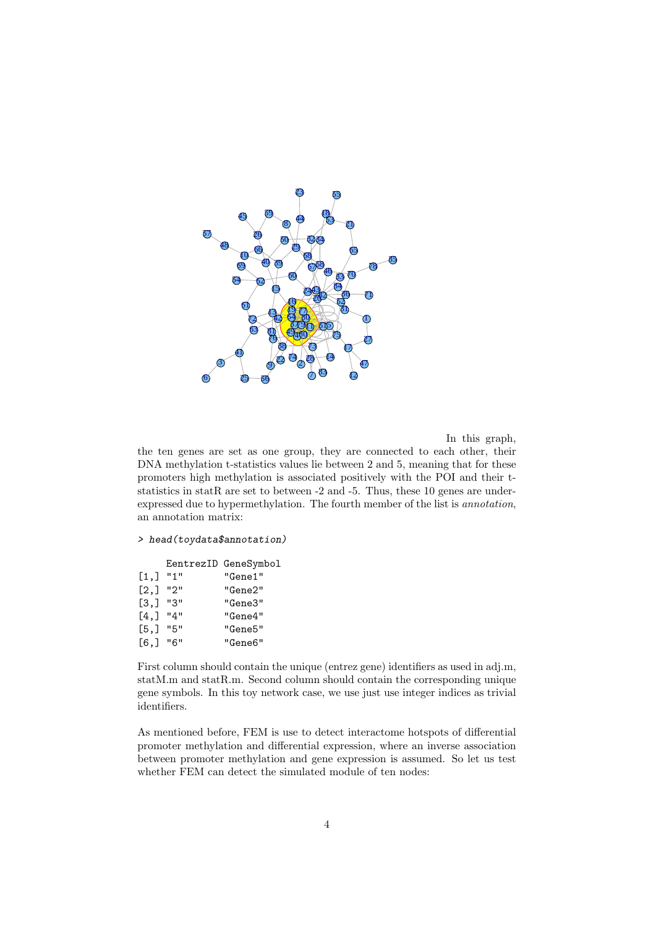

In this graph,

the ten genes are set as one group, they are connected to each other, their DNA methylation t-statistics values lie between 2 and 5, meaning that for these promoters high methylation is associated positively with the POI and their tstatistics in statR are set to between  $-2$  and  $-5$ . Thus, these 10 genes are underexpressed due to hypermethylation. The fourth member of the list is annotation, an annotation matrix:

> head(toydata\$annotation)

|         |       | EentrezID GeneSymbol |
|---------|-------|----------------------|
| [1,]    | "1"   | "Gene1"              |
| [2,]    | ייפיי | "Gene2"              |
| [3,]    | "3"   | "Gene3"              |
| $[4,$ ] | "4"   | "Gene4"              |
| [5,]    | "5"   | "Gene5"              |
| [6, 1]  | "6"   | "Gene6"              |

First column should contain the unique (entrez gene) identifiers as used in adj.m, statM.m and statR.m. Second column should contain the corresponding unique gene symbols. In this toy network case, we use just use integer indices as trivial identifiers.

As mentioned before, FEM is use to detect interactome hotspots of differential promoter methylation and differential expression, where an inverse association between promoter methylation and gene expression is assumed. So let us test whether FEM can detect the simulated module of ten nodes: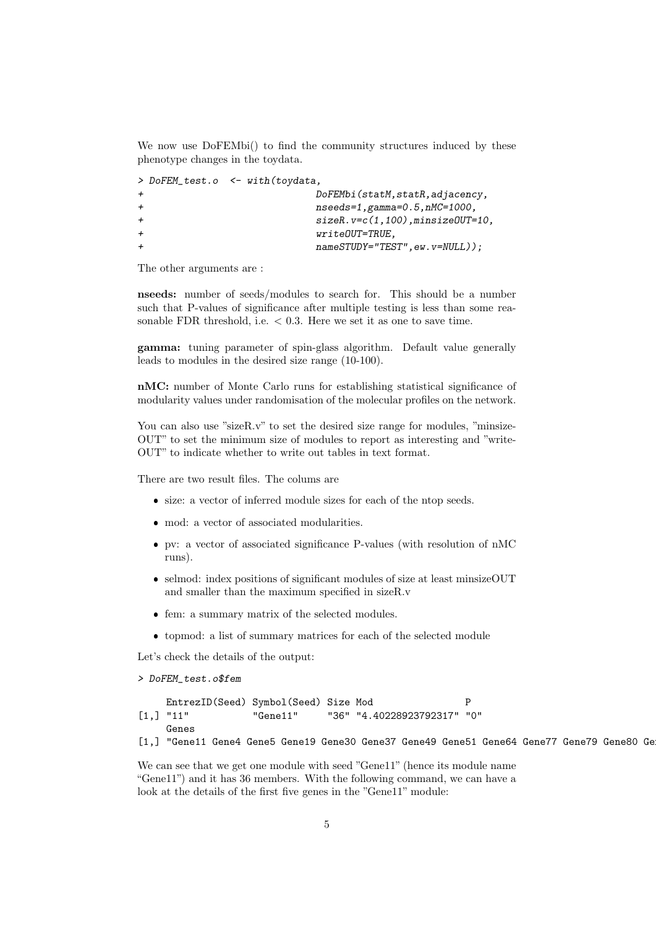We now use DoFEMbi() to find the community structures induced by these phenotype changes in the toydata.

|              | > DoFEM_test.o <- with(toydata,        |
|--------------|----------------------------------------|
| $\leftarrow$ | DoFEMbi (statM, statR, adjacency,      |
| $\leftarrow$ | $nseeds = 1, gamma = 0.5, nMC = 1000,$ |
| $\leftarrow$ | $sizeR.v=c(1,100)$ , minsizeOUT=10,    |
| $\leftarrow$ | $writeOUT = TRUE$ .                    |
| $+$          | $nameSTUDY="TEST", ew.v=NULL$ );       |
|              |                                        |

The other arguments are :

nseeds: number of seeds/modules to search for. This should be a number such that P-values of significance after multiple testing is less than some reasonable FDR threshold, i.e.  $< 0.3$ . Here we set it as one to save time.

gamma: tuning parameter of spin-glass algorithm. Default value generally leads to modules in the desired size range (10-100).

nMC: number of Monte Carlo runs for establishing statistical significance of modularity values under randomisation of the molecular profiles on the network.

You can also use "sizeR.v" to set the desired size range for modules, "minsize-OUT" to set the minimum size of modules to report as interesting and "write-OUT" to indicate whether to write out tables in text format.

There are two result files. The colums are

- size: a vector of inferred module sizes for each of the ntop seeds.
- mod: a vector of associated modularities.
- pv: a vector of associated significance P-values (with resolution of nMC runs).
- selmod: index positions of significant modules of size at least minsizeOUT and smaller than the maximum specified in sizeR.v
- fem: a summary matrix of the selected modules.
- topmod: a list of summary matrices for each of the selected module

Let's check the details of the output:

```
> DoFEM_test.o$fem
```
EntrezID(Seed) Symbol(Seed) Size Mod P [1,] "11" "Gene11" "36" "4.40228923792317" "0" Genes

[1,] "Gene11 Gene4 Gene5 Gene19 Gene30 Gene37 Gene49 Gene51 Gene64 Gene77 Gene79 Gene80 Ge

We can see that we get one module with seed "Gene11" (hence its module name "Gene11") and it has 36 members. With the following command, we can have a look at the details of the first five genes in the "Gene11" module: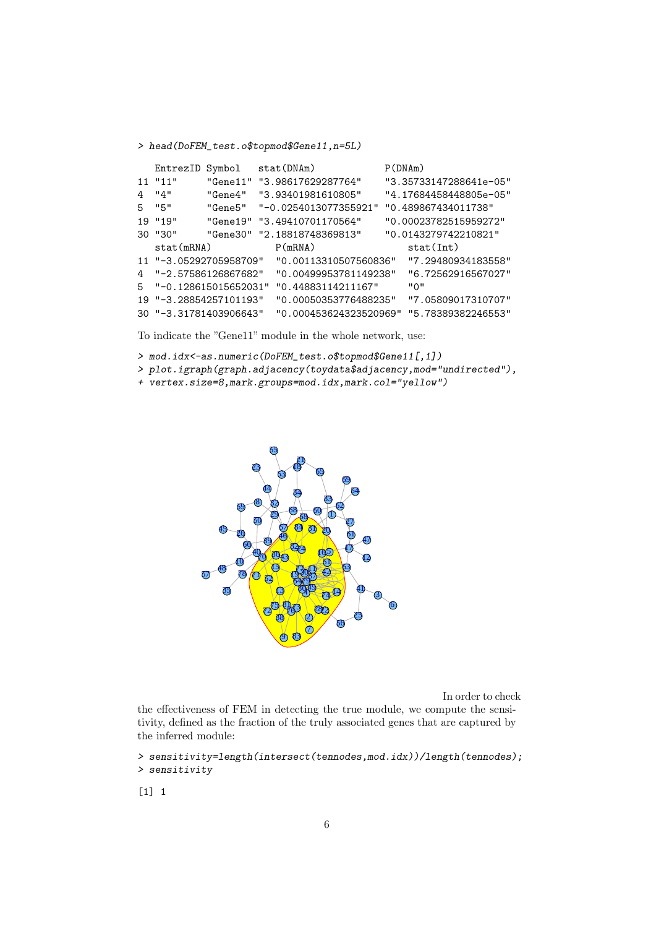> head(DoFEM\_test.o\$topmod\$Gene11,n=5L)

|     | EntrezID Symbol        |                             | stat (DNAm)            |  | P(DNAm)                |                    |  |
|-----|------------------------|-----------------------------|------------------------|--|------------------------|--------------------|--|
|     | $11$ " $11$ "          | "Gene11"                    | "3.98617629287764"     |  | "3.35733147288641e-05" |                    |  |
| 4   | "4"                    | "Gene4"                     | "3.93401981610805"     |  | "4.17684458448805e-05" |                    |  |
| 5.  | "5"                    | "Gene5"                     | "-0.0254013077355921"  |  | "0.489867434011738"    |                    |  |
|     | $19$ " $19$ "          | "Gene19"                    | "3.49410701170564"     |  | "0.00023782515959272"  |                    |  |
|     | 30 "30"                | "Gene30" "2.18818748369813" |                        |  | "0.0143279742210821"   |                    |  |
|     | stat(mRNA)             |                             | P(mRNA)                |  | stat(int)              |                    |  |
|     | 11 "-3.05292705958709" |                             | "0.00113310507560836"  |  |                        | "7.29480934183558" |  |
| 4   | "-2.57586126867682"    |                             | "0.00499953781149238"  |  |                        | "6.72562916567027" |  |
| 5   |                        | "-0.128615015652031"        | "0.44883114211167"     |  | " 0"                   |                    |  |
|     | 19 "-3.28854257101193" |                             | "0.00050353776488235"  |  |                        | "7.05809017310707" |  |
| 30. | "-3.31781403906643"    |                             | "0.000453624323520969" |  |                        | "5.78389382246553" |  |

To indicate the "Gene11" module in the whole network, use:

> mod.idx<-as.numeric(DoFEM\_test.o\$topmod\$Gene11[,1])

- > plot.igraph(graph.adjacency(toydata\$adjacency,mod="undirected"),
- + vertex.size=8,mark.groups=mod.idx,mark.col="yellow")



In order to check

the effectiveness of FEM in detecting the true module, we compute the sensitivity, defined as the fraction of the truly associated genes that are captured by the inferred module:

```
> sensitivity=length(intersect(tennodes,mod.idx))/length(tennodes);
> sensitivity
```
 $[1]$  1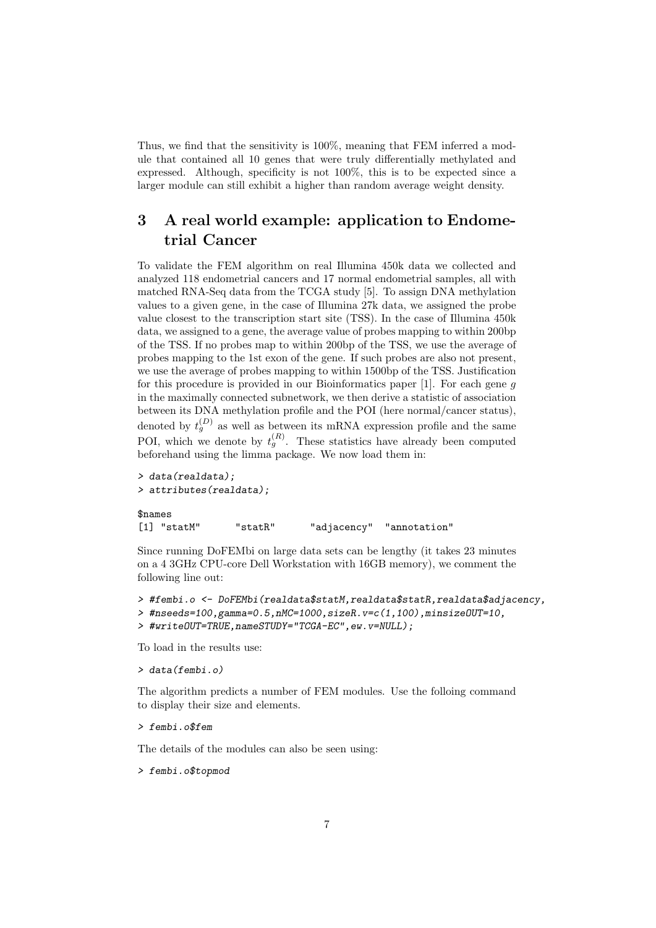Thus, we find that the sensitivity is 100%, meaning that FEM inferred a module that contained all 10 genes that were truly differentially methylated and expressed. Although, specificity is not 100%, this is to be expected since a larger module can still exhibit a higher than random average weight density.

## 3 A real world example: application to Endometrial Cancer

To validate the FEM algorithm on real Illumina 450k data we collected and analyzed 118 endometrial cancers and 17 normal endometrial samples, all with matched RNA-Seq data from the TCGA study [5]. To assign DNA methylation values to a given gene, in the case of Illumina 27k data, we assigned the probe value closest to the transcription start site (TSS). In the case of Illumina 450k data, we assigned to a gene, the average value of probes mapping to within 200bp of the TSS. If no probes map to within 200bp of the TSS, we use the average of probes mapping to the 1st exon of the gene. If such probes are also not present, we use the average of probes mapping to within 1500bp of the TSS. Justification for this procedure is provided in our Bioinformatics paper  $[1]$ . For each gene g in the maximally connected subnetwork, we then derive a statistic of association between its DNA methylation profile and the POI (here normal/cancer status), denoted by  $t_g^{(D)}$  as well as between its mRNA expression profile and the same POI, which we denote by  $t_g^{(R)}$ . These statistics have already been computed beforehand using the limma package. We now load them in:

```
> data(realdata);
> attributes(realdata);
$names
[1] "statM" "statR" "adjacency" "annotation"
```
Since running DoFEMbi on large data sets can be lengthy (it takes 23 minutes on a 4 3GHz CPU-core Dell Workstation with 16GB memory), we comment the following line out:

```
> #fembi.o <- DoFEMbi(realdata$statM,realdata$statR,realdata$adjacency,
```

```
> #nseeds=100,gamma=0.5,nMC=1000,sizeR.v=c(1,100),minsizeOUT=10,
```

```
> #writeOUT=TRUE,nameSTUDY="TCGA-EC",ew.v=NULL);
```
To load in the results use:

> data(fembi.o)

The algorithm predicts a number of FEM modules. Use the folloing command to display their size and elements.

> fembi.o\$fem

The details of the modules can also be seen using:

> fembi.o\$topmod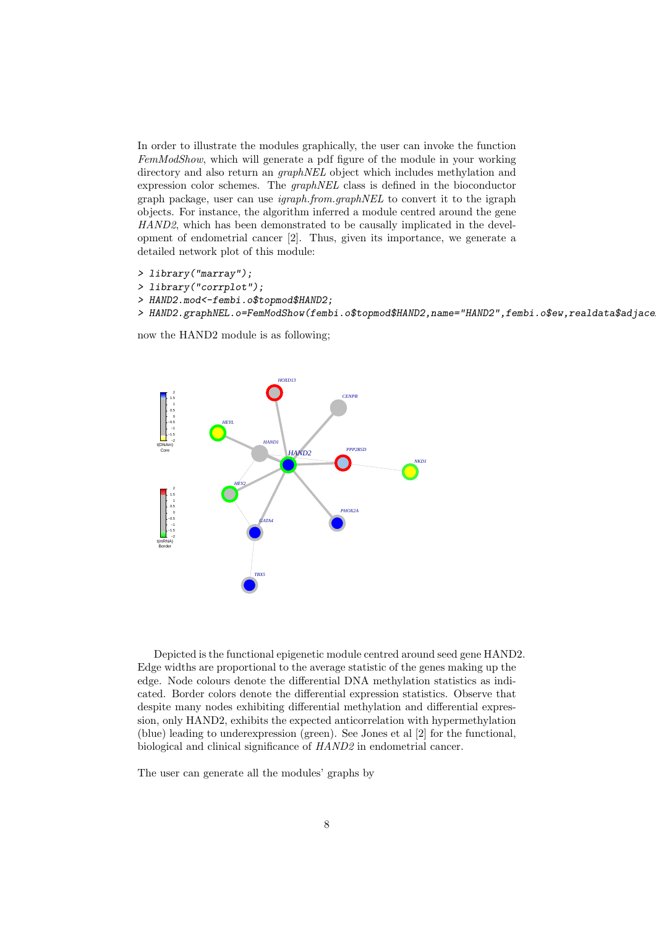In order to illustrate the modules graphically, the user can invoke the function FemModShow, which will generate a pdf figure of the module in your working directory and also return an *graphNEL* object which includes methylation and expression color schemes. The graphNEL class is defined in the bioconductor graph package, user can use igraph.from.graphNEL to convert it to the igraph objects. For instance, the algorithm inferred a module centred around the gene HAND2, which has been demonstrated to be causally implicated in the development of endometrial cancer [2]. Thus, given its importance, we generate a detailed network plot of this module:

```
> library("marray");
```

```
> library("corrplot");
```

```
> HAND2.mod<-fembi.o$topmod$HAND2;
```

```
> HAND2.graphNEL.o=FemModShow(fembi.o$topmod$HAND2,name="HAND2",fembi.o$ew,realdata$adjace
```
now the HAND2 module is as following;



Depicted is the functional epigenetic module centred around seed gene HAND2. Edge widths are proportional to the average statistic of the genes making up the edge. Node colours denote the differential DNA methylation statistics as indicated. Border colors denote the differential expression statistics. Observe that despite many nodes exhibiting differential methylation and differential expression, only HAND2, exhibits the expected anticorrelation with hypermethylation (blue) leading to underexpression (green). See Jones et al [2] for the functional, biological and clinical significance of HAND2 in endometrial cancer.

The user can generate all the modules' graphs by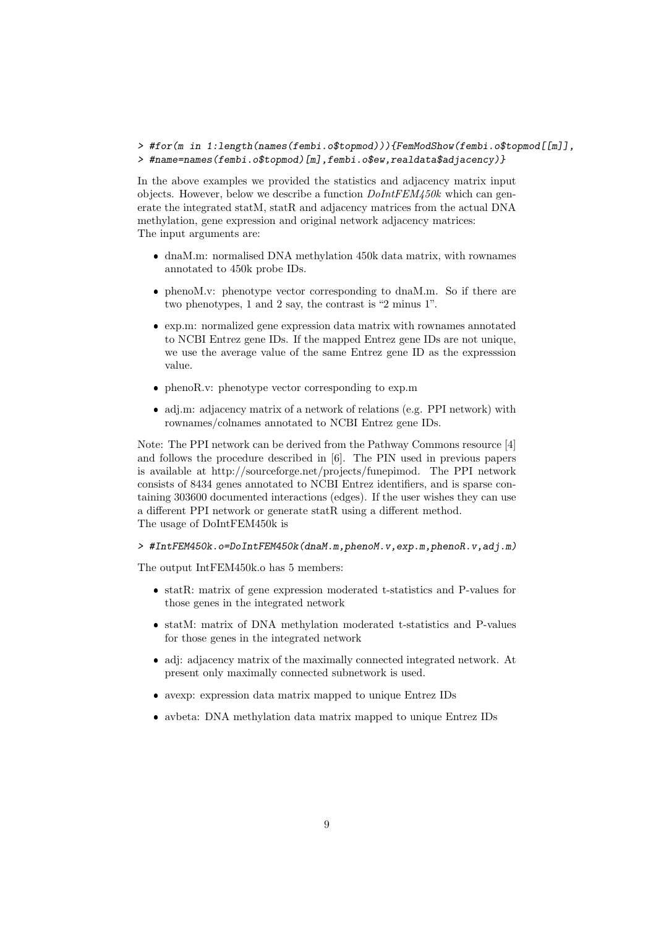#### > #for(m in 1:length(names(fembi.o\$topmod))){FemModShow(fembi.o\$topmod[[m]], > #name=names(fembi.o\$topmod)[m],fembi.o\$ew,realdata\$adjacency)}

In the above examples we provided the statistics and adjacency matrix input objects. However, below we describe a function  $DolntFEM450k$  which can generate the integrated statM, statR and adjacency matrices from the actual DNA methylation, gene expression and original network adjacency matrices: The input arguments are:

- dnaM.m: normalised DNA methylation 450k data matrix, with rownames annotated to 450k probe IDs.
- phenoM.v: phenotype vector corresponding to dnaM.m. So if there are two phenotypes, 1 and 2 say, the contrast is "2 minus 1".
- exp.m: normalized gene expression data matrix with rownames annotated to NCBI Entrez gene IDs. If the mapped Entrez gene IDs are not unique, we use the average value of the same Entrez gene ID as the expresssion value.
- phenoR.v: phenotype vector corresponding to exp.m
- adj.m: adjacency matrix of a network of relations (e.g. PPI network) with rownames/colnames annotated to NCBI Entrez gene IDs.

Note: The PPI network can be derived from the Pathway Commons resource [4] and follows the procedure described in [6]. The PIN used in previous papers is available at http://sourceforge.net/projects/funepimod. The PPI network consists of 8434 genes annotated to NCBI Entrez identifiers, and is sparse containing 303600 documented interactions (edges). If the user wishes they can use a different PPI network or generate statR using a different method. The usage of DoIntFEM450k is

#### > #IntFEM450k.o=DoIntFEM450k(dnaM.m,phenoM.v,exp.m,phenoR.v,adj.m)

The output IntFEM450k.o has 5 members:

- statR: matrix of gene expression moderated t-statistics and P-values for those genes in the integrated network
- statM: matrix of DNA methylation moderated t-statistics and P-values for those genes in the integrated network
- adj: adjacency matrix of the maximally connected integrated network. At present only maximally connected subnetwork is used.
- avexp: expression data matrix mapped to unique Entrez IDs
- avbeta: DNA methylation data matrix mapped to unique Entrez IDs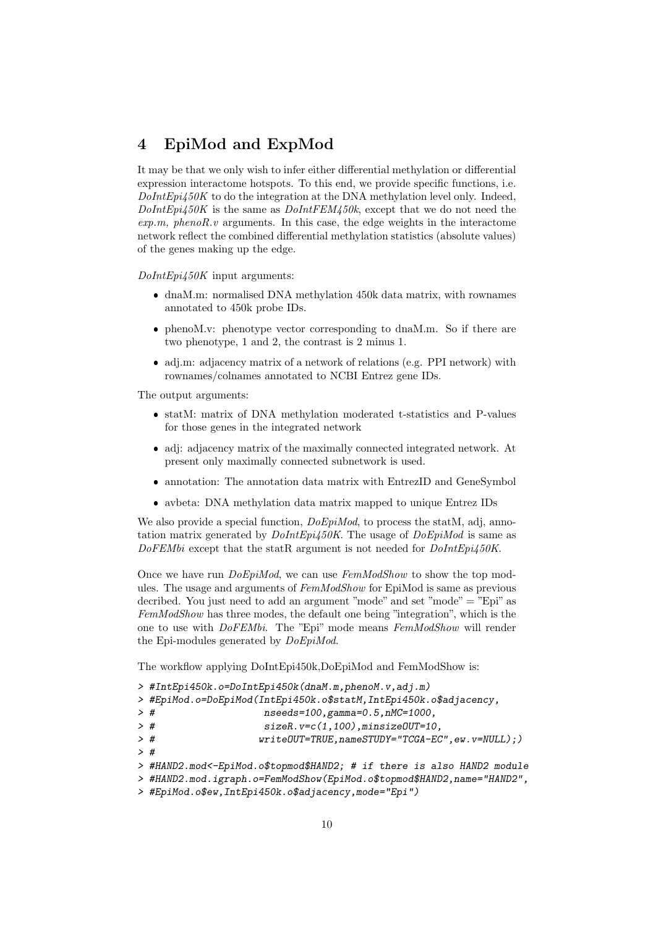## 4 EpiMod and ExpMod

It may be that we only wish to infer either differential methylation or differential expression interactome hotspots. To this end, we provide specific functions, i.e.  $DolntEpi450K$  to do the integration at the DNA methylation level only. Indeed,  $DolntEpi450K$  is the same as  $DolntFEM450k$ , except that we do not need the  $exp.m, phenoR.v$  arguments. In this case, the edge weights in the interactome network reflect the combined differential methylation statistics (absolute values) of the genes making up the edge.

DoIntEpi450K input arguments:

- dnaM.m: normalised DNA methylation 450k data matrix, with rownames annotated to 450k probe IDs.
- phenoM.v: phenotype vector corresponding to dnaM.m. So if there are two phenotype, 1 and 2, the contrast is 2 minus 1.
- adj.m: adjacency matrix of a network of relations (e.g. PPI network) with rownames/colnames annotated to NCBI Entrez gene IDs.

The output arguments:

- statM: matrix of DNA methylation moderated t-statistics and P-values for those genes in the integrated network
- adj: adjacency matrix of the maximally connected integrated network. At present only maximally connected subnetwork is used.
- $\bullet$ annotation: The annotation data matrix with EntrezID and GeneSymbol
- avbeta: DNA methylation data matrix mapped to unique Entrez IDs

We also provide a special function,  $DoEpiMod$ , to process the statM, adj, annotation matrix generated by  $DolntEpi/50K$ . The usage of  $DoEpiMod$  is same as DoFEMbi except that the statR argument is not needed for  $DolntEpi450K$ .

Once we have run *DoEpiMod*, we can use FemModShow to show the top modules. The usage and arguments of  $FemModShow$  for EpiMod is same as previous decribed. You just need to add an argument "mode" and set "mode" = "Epi" as FemModShow has three modes, the default one being "integration", which is the one to use with DoFEMbi. The "Epi" mode means FemModShow will render the Epi-modules generated by DoEpiMod.

The workflow applying DoIntEpi450k,DoEpiMod and FemModShow is:

```
> #IntEpi450k.o=DoIntEpi450k(dnaM.m,phenoM.v,adj.m)
```

```
> #EpiMod.o=DoEpiMod(IntEpi450k.o$statM,IntEpi450k.o$adjacency,
```
- > # nseeds=100,gamma=0.5,nMC=1000,
- > # sizeR.v=c(1,100),minsizeOUT=10,
- > # writeOUT=TRUE,nameSTUDY="TCGA-EC",ew.v=NULL);)
- > #
- > #HAND2.mod<-EpiMod.o\$topmod\$HAND2; # if there is also HAND2 module
- > #HAND2.mod.igraph.o=FemModShow(EpiMod.o\$topmod\$HAND2,name="HAND2",
- > #EpiMod.o\$ew,IntEpi450k.o\$adjacency,mode="Epi")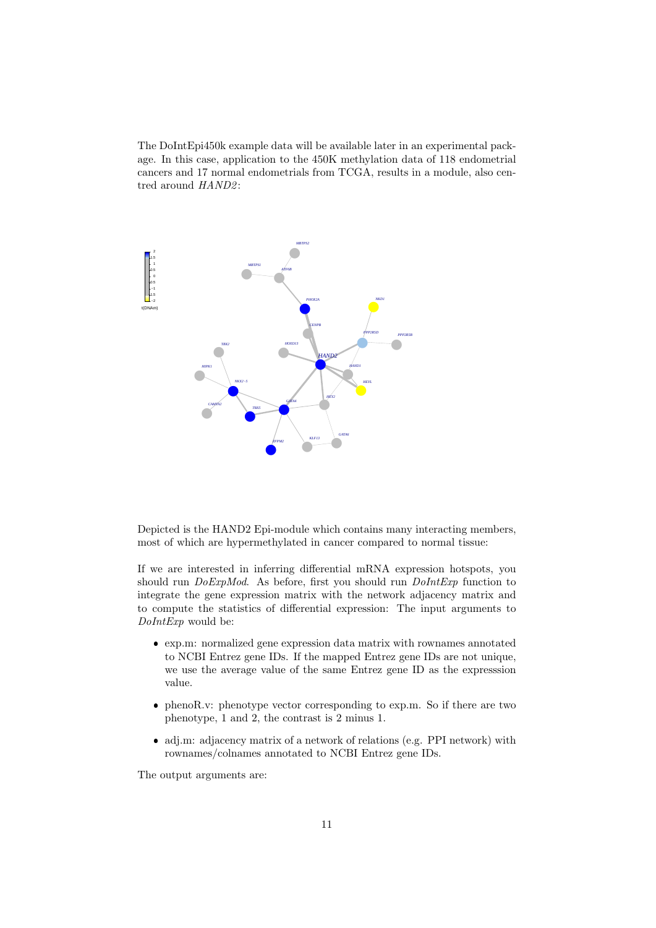The DoIntEpi450k example data will be available later in an experimental package. In this case, application to the 450K methylation data of 118 endometrial cancers and 17 normal endometrials from TCGA, results in a module, also centred around  $HAND2$ :



Depicted is the HAND2 Epi-module which contains many interacting members, most of which are hypermethylated in cancer compared to normal tissue:

If we are interested in inferring differential mRNA expression hotspots, you should run *DoExpMod*. As before, first you should run *DoIntExp* function to integrate the gene expression matrix with the network adjacency matrix and to compute the statistics of differential expression: The input arguments to DoIntExp would be:

- exp.m: normalized gene expression data matrix with rownames annotated to NCBI Entrez gene IDs. If the mapped Entrez gene IDs are not unique, we use the average value of the same Entrez gene ID as the expresssion value.
- phenoR.v: phenotype vector corresponding to exp.m. So if there are two phenotype, 1 and 2, the contrast is 2 minus 1.
- adj.m: adjacency matrix of a network of relations (e.g. PPI network) with rownames/colnames annotated to NCBI Entrez gene IDs.

The output arguments are: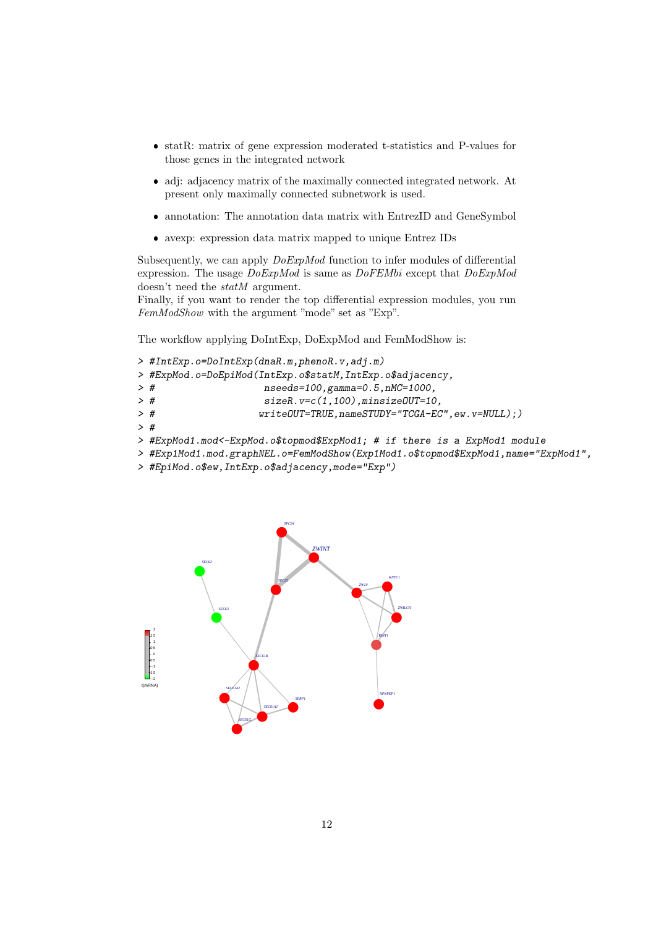- statR: matrix of gene expression moderated t-statistics and P-values for those genes in the integrated network
- adj: adjacency matrix of the maximally connected integrated network. At present only maximally connected subnetwork is used.
- annotation: The annotation data matrix with EntrezID and GeneSymbol
- avexp: expression data matrix mapped to unique Entrez IDs

Subsequently, we can apply  $DoExpMod$  function to infer modules of differential expression. The usage  $DoExpMod$  is same as  $DoFEMbi$  except that  $DoExpMod$ doesn't need the *statM* argument.

Finally, if you want to render the top differential expression modules, you run FemModShow with the argument "mode" set as "Exp".

The workflow applying DoIntExp, DoExpMod and FemModShow is:

```
> #IntExp.o=DoIntExp(dnaR.m,phenoR.v,adj.m)
> #ExpMod.o=DoEpiMod(IntExp.o$statM,IntExp.o$adjacency,
> # nseeds=100,gamma=0.5,nMC=1000,
> # sizeR.v=c(1,100),minsizeOUT=10,
> # writeOUT=TRUE,nameSTUDY="TCGA-EC",ew.v=NULL);)
> #
> #ExpMod1.mod<-ExpMod.o$topmod$ExpMod1; # if there is a ExpMod1 module
> #Exp1Mod1.mod.graphNEL.o=FemModShow(Exp1Mod1.o$topmod$ExpMod1,name="ExpMod1",
```
> #EpiMod.o\$ew,IntExp.o\$adjacency,mode="Exp")

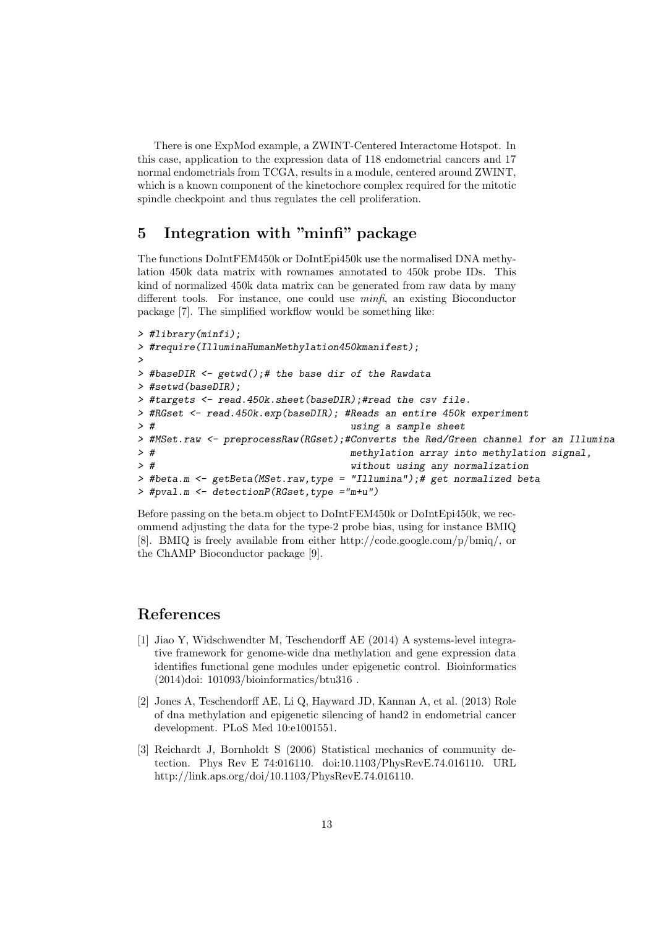There is one ExpMod example, a ZWINT-Centered Interactome Hotspot. In this case, application to the expression data of 118 endometrial cancers and 17 normal endometrials from TCGA, results in a module, centered around ZWINT, which is a known component of the kinetochore complex required for the mitotic spindle checkpoint and thus regulates the cell proliferation.

## 5 Integration with "minfi" package

The functions DoIntFEM450k or DoIntEpi450k use the normalised DNA methylation 450k data matrix with rownames annotated to 450k probe IDs. This kind of normalized 450k data matrix can be generated from raw data by many different tools. For instance, one could use minfi, an existing Bioconductor package [7]. The simplified workflow would be something like:

```
> #library(minfi);
> #require(IlluminaHumanMethylation450kmanifest);
>
> #baseDIR <- getwd();# the base dir of the Rawdata
> #setwd(baseDIR);
> #targets <- read.450k.sheet(baseDIR);#read the csv file.
> #RGset <- read.450k.exp(baseDIR); #Reads an entire 450k experiment
> # using a sample sheet
> #MSet.raw <- preprocessRaw(RGset);#Converts the Red/Green channel for an Illumina
> # methylation array into methylation signal,
> # without using any normalization
> #beta.m <- getBeta(MSet.raw,type = "Illumina");# get normalized beta
> #pval.m <- detectionP(RGset,type ="m+u")
```
Before passing on the beta.m object to DoIntFEM450k or DoIntEpi450k, we recommend adjusting the data for the type-2 probe bias, using for instance BMIQ [8]. BMIQ is freely available from either http://code.google.com/p/bmiq/, or the ChAMP Bioconductor package [9].

### References

- [1] Jiao Y, Widschwendter M, Teschendorff AE (2014) A systems-level integrative framework for genome-wide dna methylation and gene expression data identifies functional gene modules under epigenetic control. Bioinformatics (2014)doi: 101093/bioinformatics/btu316 .
- [2] Jones A, Teschendorff AE, Li Q, Hayward JD, Kannan A, et al. (2013) Role of dna methylation and epigenetic silencing of hand2 in endometrial cancer development. PLoS Med 10:e1001551.
- [3] Reichardt J, Bornholdt S (2006) Statistical mechanics of community detection. Phys Rev E 74:016110. doi:10.1103/PhysRevE.74.016110. URL http://link.aps.org/doi/10.1103/PhysRevE.74.016110.